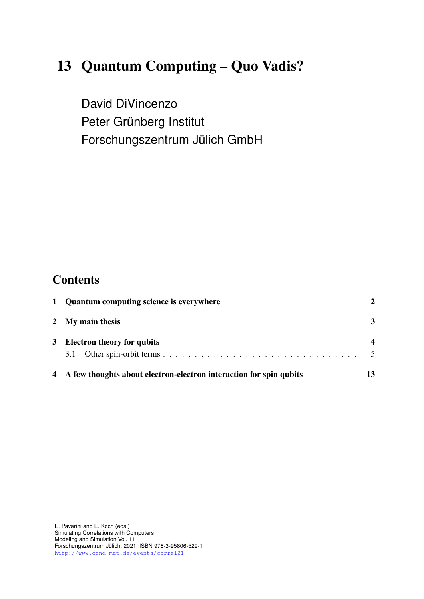# 13 Quantum Computing – Quo Vadis?

David DiVincenzo Peter Grünberg Institut Forschungszentrum Jülich GmbH

## **Contents**

| 1 Quantum computing science is everywhere                            |        |
|----------------------------------------------------------------------|--------|
| 2 My main thesis                                                     | 3      |
| 3 Electron theory for qubits                                         |        |
|                                                                      | $\sim$ |
| 4 A few thoughts about electron-electron interaction for spin qubits | 13     |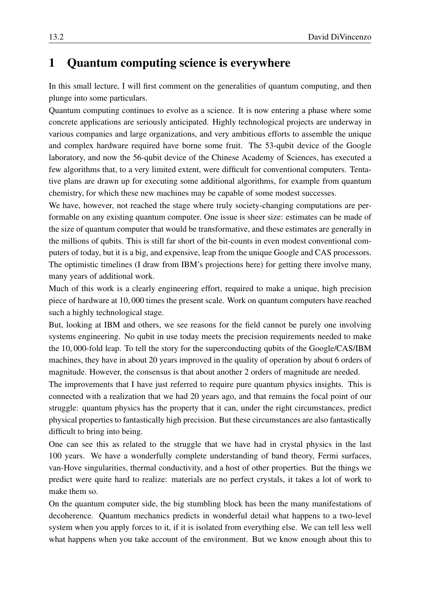### <span id="page-1-0"></span>1 Quantum computing science is everywhere

In this small lecture, I will first comment on the generalities of quantum computing, and then plunge into some particulars.

Quantum computing continues to evolve as a science. It is now entering a phase where some concrete applications are seriously anticipated. Highly technological projects are underway in various companies and large organizations, and very ambitious efforts to assemble the unique and complex hardware required have borne some fruit. The 53-qubit device of the Google laboratory, and now the 56-qubit device of the Chinese Academy of Sciences, has executed a few algorithms that, to a very limited extent, were difficult for conventional computers. Tentative plans are drawn up for executing some additional algorithms, for example from quantum chemistry, for which these new machines may be capable of some modest successes.

We have, however, not reached the stage where truly society-changing computations are performable on any existing quantum computer. One issue is sheer size: estimates can be made of the size of quantum computer that would be transformative, and these estimates are generally in the millions of qubits. This is still far short of the bit-counts in even modest conventional computers of today, but it is a big, and expensive, leap from the unique Google and CAS processors. The optimistic timelines (I draw from IBM's projections here) for getting there involve many, many years of additional work.

Much of this work is a clearly engineering effort, required to make a unique, high precision piece of hardware at 10, 000 times the present scale. Work on quantum computers have reached such a highly technological stage.

But, looking at IBM and others, we see reasons for the field cannot be purely one involving systems engineering. No qubit in use today meets the precision requirements needed to make the 10, 000-fold leap. To tell the story for the superconducting qubits of the Google/CAS/IBM machines, they have in about 20 years improved in the quality of operation by about 6 orders of magnitude. However, the consensus is that about another 2 orders of magnitude are needed.

The improvements that I have just referred to require pure quantum physics insights. This is connected with a realization that we had 20 years ago, and that remains the focal point of our struggle: quantum physics has the property that it can, under the right circumstances, predict physical properties to fantastically high precision. But these circumstances are also fantastically difficult to bring into being.

One can see this as related to the struggle that we have had in crystal physics in the last 100 years. We have a wonderfully complete understanding of band theory, Fermi surfaces, van-Hove singularities, thermal conductivity, and a host of other properties. But the things we predict were quite hard to realize: materials are no perfect crystals, it takes a lot of work to make them so.

On the quantum computer side, the big stumbling block has been the many manifestations of decoherence. Quantum mechanics predicts in wonderful detail what happens to a two-level system when you apply forces to it, if it is isolated from everything else. We can tell less well what happens when you take account of the environment. But we know enough about this to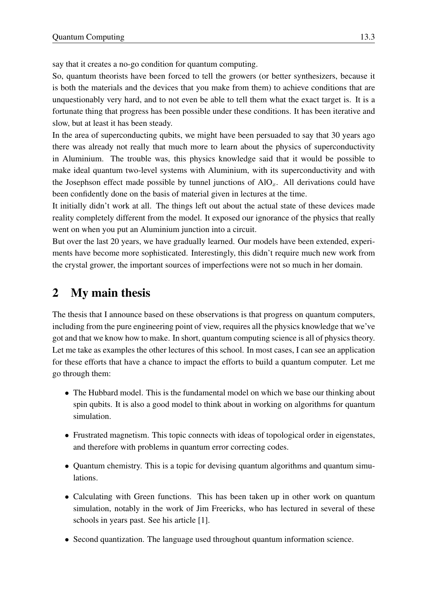say that it creates a no-go condition for quantum computing.

So, quantum theorists have been forced to tell the growers (or better synthesizers, because it is both the materials and the devices that you make from them) to achieve conditions that are unquestionably very hard, and to not even be able to tell them what the exact target is. It is a fortunate thing that progress has been possible under these conditions. It has been iterative and slow, but at least it has been steady.

In the area of superconducting qubits, we might have been persuaded to say that 30 years ago there was already not really that much more to learn about the physics of superconductivity in Aluminium. The trouble was, this physics knowledge said that it would be possible to make ideal quantum two-level systems with Aluminium, with its superconductivity and with the Josephson effect made possible by tunnel junctions of  $AIO<sub>x</sub>$ . All derivations could have been confidently done on the basis of material given in lectures at the time.

It initially didn't work at all. The things left out about the actual state of these devices made reality completely different from the model. It exposed our ignorance of the physics that really went on when you put an Aluminium junction into a circuit.

But over the last 20 years, we have gradually learned. Our models have been extended, experiments have become more sophisticated. Interestingly, this didn't require much new work from the crystal grower, the important sources of imperfections were not so much in her domain.

### <span id="page-2-0"></span>2 My main thesis

The thesis that I announce based on these observations is that progress on quantum computers, including from the pure engineering point of view, requires all the physics knowledge that we've got and that we know how to make. In short, quantum computing science is all of physics theory. Let me take as examples the other lectures of this school. In most cases, I can see an application for these efforts that have a chance to impact the efforts to build a quantum computer. Let me go through them:

- The Hubbard model. This is the fundamental model on which we base our thinking about spin qubits. It is also a good model to think about in working on algorithms for quantum simulation.
- Frustrated magnetism. This topic connects with ideas of topological order in eigenstates, and therefore with problems in quantum error correcting codes.
- Quantum chemistry. This is a topic for devising quantum algorithms and quantum simulations.
- Calculating with Green functions. This has been taken up in other work on quantum simulation, notably in the work of Jim Freericks, who has lectured in several of these schools in years past. See his article [\[1\]](#page-17-0).
- Second quantization. The language used throughout quantum information science.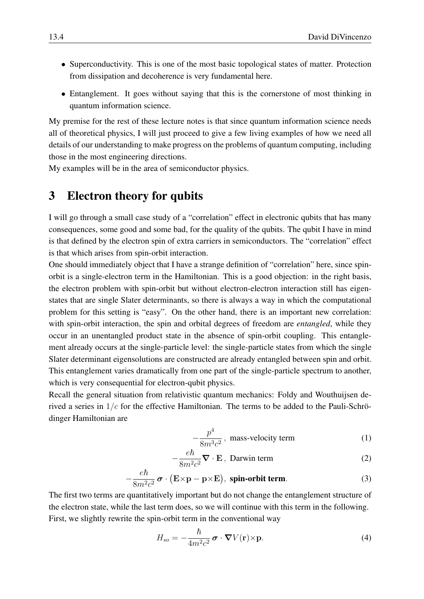- Superconductivity. This is one of the most basic topological states of matter. Protection from dissipation and decoherence is very fundamental here.
- Entanglement. It goes without saying that this is the cornerstone of most thinking in quantum information science.

My premise for the rest of these lecture notes is that since quantum information science needs all of theoretical physics, I will just proceed to give a few living examples of how we need all details of our understanding to make progress on the problems of quantum computing, including those in the most engineering directions.

My examples will be in the area of semiconductor physics.

#### <span id="page-3-0"></span>3 Electron theory for qubits

I will go through a small case study of a "correlation" effect in electronic qubits that has many consequences, some good and some bad, for the quality of the qubits. The qubit I have in mind is that defined by the electron spin of extra carriers in semiconductors. The "correlation" effect is that which arises from spin-orbit interaction.

One should immediately object that I have a strange definition of "correlation" here, since spinorbit is a single-electron term in the Hamiltonian. This is a good objection: in the right basis, the electron problem with spin-orbit but without electron-electron interaction still has eigenstates that are single Slater determinants, so there is always a way in which the computational problem for this setting is "easy". On the other hand, there is an important new correlation: with spin-orbit interaction, the spin and orbital degrees of freedom are *entangled*, while they occur in an unentangled product state in the absence of spin-orbit coupling. This entanglement already occurs at the single-particle level: the single-particle states from which the single Slater determinant eigensolutions are constructed are already entangled between spin and orbit. This entanglement varies dramatically from one part of the single-particle spectrum to another, which is very consequential for electron-qubit physics.

Recall the general situation from relativistic quantum mechanics: Foldy and Wouthuijsen derived a series in  $1/c$  for the effective Hamiltonian. The terms to be added to the Pauli-Schrödinger Hamiltonian are

$$
-\frac{p^4}{8m^3c^2}
$$
, mass-velocity term (1)

$$
-\frac{e\hbar}{8m^2c^2}\nabla\cdot\mathbf{E}\, ,\ \text{Darwin term}\tag{2}
$$

$$
-\frac{e\hbar}{8m^2c^2}\boldsymbol{\sigma}\cdot(\mathbf{E}\times\mathbf{p}-\mathbf{p}\times\mathbf{E}),\text{ spin-orbit term.}
$$
 (3)

The first two terms are quantitatively important but do not change the entanglement structure of the electron state, while the last term does, so we will continue with this term in the following. First, we slightly rewrite the spin-orbit term in the conventional way

<span id="page-3-1"></span>
$$
H_{so} = -\frac{\hbar}{4m^2c^2} \boldsymbol{\sigma} \cdot \boldsymbol{\nabla} V(\mathbf{r}) \times \mathbf{p}.
$$
 (4)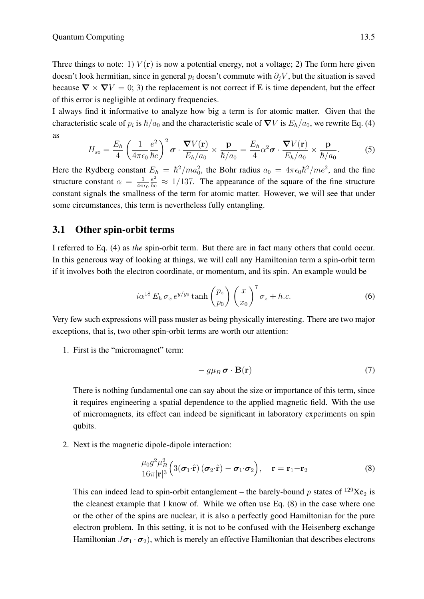Three things to note: 1)  $V(\bf{r})$  is now a potential energy, not a voltage; 2) The form here given doesn't look hermitian, since in general  $p_i$  doesn't commute with  $\partial_i V$ , but the situation is saved because  $\nabla \times \nabla V = 0$ ; 3) the replacement is not correct if **E** is time dependent, but the effect of this error is negligible at ordinary frequencies.

I always find it informative to analyze how big a term is for atomic matter. Given that the characteristic scale of  $p_i$  is  $\hbar/a_0$  and the characteristic scale of  $\nabla V$  is  $E_h/a_0$ , we rewrite Eq. [\(4\)](#page-3-1) as

$$
H_{so} = \frac{E_h}{4} \left( \frac{1}{4\pi\epsilon_0} \frac{e^2}{\hbar c} \right)^2 \boldsymbol{\sigma} \cdot \frac{\boldsymbol{\nabla} V(\mathbf{r})}{E_h/a_0} \times \frac{\mathbf{p}}{\hbar/a_0} = \frac{E_h}{4} \alpha^2 \boldsymbol{\sigma} \cdot \frac{\boldsymbol{\nabla} V(\mathbf{r})}{E_h/a_0} \times \frac{\mathbf{p}}{\hbar/a_0}.
$$
 (5)

Here the Rydberg constant  $E_h = \hbar^2/ma_0^2$ , the Bohr radius  $a_0 = 4\pi\epsilon_0\hbar^2/m e^2$ , and the fine structure constant  $\alpha = \frac{1}{4\pi\epsilon}$  $4\pi\epsilon_0$  $\frac{e^2}{\hbar c} \approx 1/137$ . The appearance of the square of the fine structure constant signals the smallness of the term for atomic matter. However, we will see that under some circumstances, this term is nevertheless fully entangling.

#### <span id="page-4-0"></span>3.1 Other spin-orbit terms

I referred to Eq. [\(4\)](#page-3-1) as *the* spin-orbit term. But there are in fact many others that could occur. In this generous way of looking at things, we will call any Hamiltonian term a spin-orbit term if it involves both the electron coordinate, or momentum, and its spin. An example would be

$$
i\alpha^{18} E_h \sigma_x e^{y/y_0} \tanh\left(\frac{p_z}{p_0}\right) \left(\frac{x}{x_0}\right)^7 \sigma_z + h.c.
$$
 (6)

Very few such expressions will pass muster as being physically interesting. There are two major exceptions, that is, two other spin-orbit terms are worth our attention:

1. First is the "micromagnet" term:

$$
- g\mu_B \boldsymbol{\sigma} \cdot \mathbf{B}(\mathbf{r}) \tag{7}
$$

There is nothing fundamental one can say about the size or importance of this term, since it requires engineering a spatial dependence to the applied magnetic field. With the use of micromagnets, its effect can indeed be significant in laboratory experiments on spin qubits.

2. Next is the magnetic dipole-dipole interaction:

<span id="page-4-1"></span>
$$
\frac{\mu_0 g^2 \mu_B^2}{16\pi |\mathbf{r}|^3} \Big( 3(\boldsymbol{\sigma}_1 \cdot \hat{\mathbf{r}}) (\boldsymbol{\sigma}_2 \cdot \hat{\mathbf{r}}) - \boldsymbol{\sigma}_1 \cdot \boldsymbol{\sigma}_2 \Big), \quad \mathbf{r} = \mathbf{r}_1 - \mathbf{r}_2 \tag{8}
$$

This can indeed lead to spin-orbit entanglement – the barely-bound p states of  $^{129}Xe_2$  is the cleanest example that I know of. While we often use Eq. [\(8\)](#page-4-1) in the case where one or the other of the spins are nuclear, it is also a perfectly good Hamiltonian for the pure electron problem. In this setting, it is not to be confused with the Heisenberg exchange Hamiltonian  $J\sigma_1 \cdot \sigma_2$ , which is merely an effective Hamiltonian that describes electrons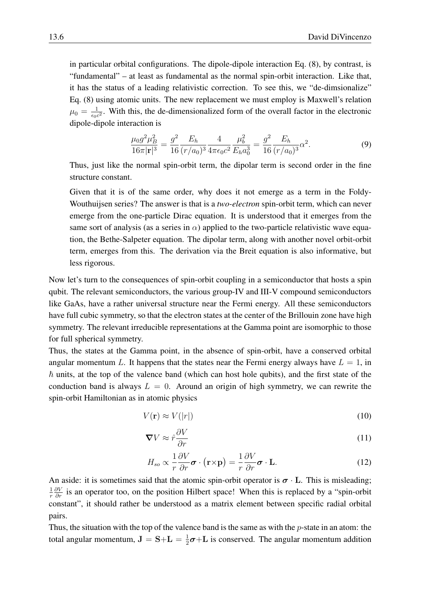in particular orbital configurations. The dipole-dipole interaction Eq. [\(8\)](#page-4-1), by contrast, is "fundamental" – at least as fundamental as the normal spin-orbit interaction. Like that, it has the status of a leading relativistic correction. To see this, we "de-dimsionalize" Eq. [\(8\)](#page-4-1) using atomic units. The new replacement we must employ is Maxwell's relation  $\mu_0 = \frac{1}{\epsilon_0 a}$  $\frac{1}{\epsilon_0 c^2}$ . With this, the de-dimensionalized form of the overall factor in the electronic dipole-dipole interaction is

$$
\frac{\mu_0 g^2 \mu_B^2}{16\pi |\mathbf{r}|^3} = \frac{g^2}{16} \frac{E_h}{(r/a_0)^3} \frac{4}{4\pi \epsilon_0 c^2} \frac{\mu_b^2}{E_h a_0^3} = \frac{g^2}{16} \frac{E_h}{(r/a_0)^3} \alpha^2.
$$
 (9)

Thus, just like the normal spin-orbit term, the dipolar term is second order in the fine structure constant.

Given that it is of the same order, why does it not emerge as a term in the Foldy-Wouthuijsen series? The answer is that is a *two-electron* spin-orbit term, which can never emerge from the one-particle Dirac equation. It is understood that it emerges from the same sort of analysis (as a series in  $\alpha$ ) applied to the two-particle relativistic wave equation, the Bethe-Salpeter equation. The dipolar term, along with another novel orbit-orbit term, emerges from this. The derivation via the Breit equation is also informative, but less rigorous.

Now let's turn to the consequences of spin-orbit coupling in a semiconductor that hosts a spin qubit. The relevant semiconductors, the various group-IV and III-V compound semiconductors like GaAs, have a rather universal structure near the Fermi energy. All these semiconductors have full cubic symmetry, so that the electron states at the center of the Brillouin zone have high symmetry. The relevant irreducible representations at the Gamma point are isomorphic to those for full spherical symmetry.

Thus, the states at the Gamma point, in the absence of spin-orbit, have a conserved orbital angular momentum L. It happens that the states near the Fermi energy always have  $L = 1$ , in  $\hbar$  units, at the top of the valence band (which can host hole qubits), and the first state of the conduction band is always  $L = 0$ . Around an origin of high symmetry, we can rewrite the spin-orbit Hamiltonian as in atomic physics

$$
V(\mathbf{r}) \approx V(|r|) \tag{10}
$$

$$
\nabla V \approx \hat{r} \frac{\partial V}{\partial r} \tag{11}
$$

$$
H_{so} \propto \frac{1}{r} \frac{\partial V}{\partial r} \boldsymbol{\sigma} \cdot (\mathbf{r} \times \mathbf{p}) = \frac{1}{r} \frac{\partial V}{\partial r} \boldsymbol{\sigma} \cdot \mathbf{L}.
$$
 (12)

An aside: it is sometimes said that the atomic spin-orbit operator is  $\sigma \cdot L$ . This is misleading; 1 r  $\frac{\partial V}{\partial r}$  is an operator too, on the position Hilbert space! When this is replaced by a "spin-orbit constant", it should rather be understood as a matrix element between specific radial orbital pairs.

Thus, the situation with the top of the valence band is the same as with the  $p$ -state in an atom: the total angular momentum,  $J = S+L = \frac{1}{2}$  $\frac{1}{2}\sigma + L$  is conserved. The angular momentum addition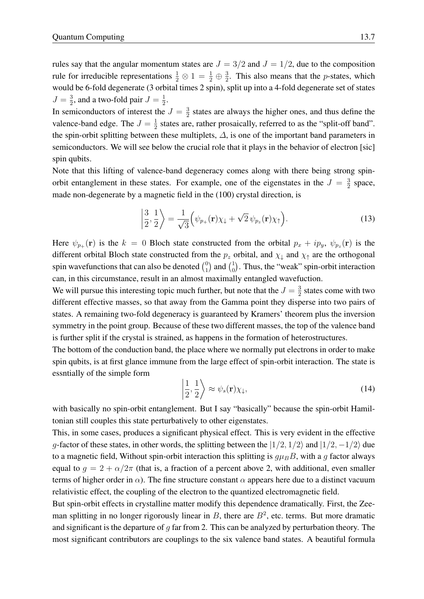rules say that the angular momentum states are  $J = 3/2$  and  $J = 1/2$ , due to the composition rule for irreducible representations  $\frac{1}{2} \otimes 1 = \frac{1}{2} \oplus \frac{3}{2}$  $\frac{3}{2}$ . This also means that the *p*-states, which would be 6-fold degenerate (3 orbital times 2 spin), split up into a 4-fold degenerate set of states  $J=\frac{3}{2}$  $\frac{3}{2}$ , and a two-fold pair  $J=\frac{1}{2}$  $\frac{1}{2}$ .

In semiconductors of interest the  $J=\frac{3}{2}$  $\frac{3}{2}$  states are always the higher ones, and thus define the valence-band edge. The  $J=\frac{1}{2}$  $\frac{1}{2}$  states are, rather prosaically, referred to as the "split-off band". the spin-orbit splitting between these multiplets,  $\Delta$ , is one of the important band parameters in semiconductors. We will see below the crucial role that it plays in the behavior of electron [sic] spin qubits.

Note that this lifting of valence-band degeneracy comes along with there being strong spinorbit entanglement in these states. For example, one of the eigenstates in the  $J = \frac{3}{2}$  $\frac{3}{2}$  space, made non-degenerate by a magnetic field in the (100) crystal direction, is

$$
\left|\frac{3}{2},\frac{1}{2}\right\rangle = \frac{1}{\sqrt{3}}\left(\psi_{p_+}(\mathbf{r})\chi_{\downarrow} + \sqrt{2}\,\psi_{p_z}(\mathbf{r})\chi_{\uparrow}\right).
$$
 (13)

Here  $\psi_{p_+}(\mathbf{r})$  is the  $k = 0$  Bloch state constructed from the orbital  $p_x + ip_y$ ,  $\psi_{p_z}(\mathbf{r})$  is the different orbital Bloch state constructed from the  $p_z$  orbital, and  $\chi_{\downarrow}$  and  $\chi_{\uparrow}$  are the orthogonal spin wavefunctions that can also be denoted  $\binom{0}{1}$  $\binom{0}{1}$  and  $\binom{1}{0}$  $_{0}^{1}$ ). Thus, the "weak" spin-orbit interaction can, in this circumstance, result in an almost maximally entangled wavefuction.

We will pursue this interesting topic much further, but note that the  $J=\frac{3}{2}$  $\frac{3}{2}$  states come with two different effective masses, so that away from the Gamma point they disperse into two pairs of states. A remaining two-fold degeneracy is guaranteed by Kramers' theorem plus the inversion symmetry in the point group. Because of these two different masses, the top of the valence band is further split if the crystal is strained, as happens in the formation of heterostructures.

The bottom of the conduction band, the place where we normally put electrons in order to make spin qubits, is at first glance immune from the large effect of spin-orbit interaction. The state is essntially of the simple form

$$
\left|\frac{1}{2},\frac{1}{2}\right\rangle \approx \psi_s(\mathbf{r})\chi_{\downarrow},\tag{14}
$$

with basically no spin-orbit entanglement. But I say "basically" because the spin-orbit Hamiltonian still couples this state perturbatively to other eigenstates.

This, in some cases, produces a significant physical effect. This is very evident in the effective g-factor of these states, in other words, the splitting between the  $|1/2, 1/2\rangle$  and  $|1/2, -1/2\rangle$  due to a magnetic field, Without spin-orbit interaction this splitting is  $g\mu_B B$ , with a g factor always equal to  $g = 2 + \alpha/2\pi$  (that is, a fraction of a percent above 2, with additional, even smaller terms of higher order in  $\alpha$ ). The fine structure constant  $\alpha$  appears here due to a distinct vacuum relativistic effect, the coupling of the electron to the quantized electromagnetic field.

But spin-orbit effects in crystalline matter modify this dependence dramatically. First, the Zeeman splitting in no longer rigorously linear in  $B$ , there are  $B<sup>2</sup>$ , etc. terms. But more dramatic and significant is the departure of  $q$  far from 2. This can be analyzed by perturbation theory. The most significant contributors are couplings to the six valence band states. A beautiful formula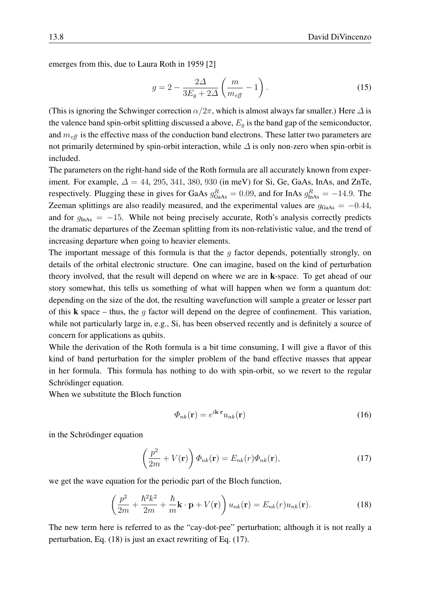emerges from this, due to Laura Roth in 1959 [\[2\]](#page-17-1)

$$
g = 2 - \frac{2\Delta}{3E_g + 2\Delta} \left(\frac{m}{m_{\text{eff}}} - 1\right). \tag{15}
$$

(This is ignoring the Schwinger correction  $\alpha/2\pi$ , which is almost always far smaller.) Here  $\Delta$  is the valence band spin-orbit splitting discussed a above,  $E_q$  is the band gap of the semiconductor, and  $m_{\text{eff}}$  is the effective mass of the conduction band electrons. These latter two parameters are not primarily determined by spin-orbit interaction, while  $\Delta$  is only non-zero when spin-orbit is included.

The parameters on the right-hand side of the Roth formula are all accurately known from experiment. For example,  $\Delta = 44$ , 295, 341, 380, 930 (in meV) for Si, Ge, GaAs, InAs, and ZnTe, respectively. Plugging these in gives for GaAs  $g_{\text{GaAs}}^R = 0.09$ , and for InAs  $g_{\text{InAs}}^R = -14.9$ . The Zeeman splittings are also readily measured, and the experimental values are  $g_{GaAs} = -0.44$ , and for  $g_{\text{InAs}} = -15$ . While not being precisely accurate, Roth's analysis correctly predicts the dramatic departures of the Zeeman splitting from its non-relativistic value, and the trend of increasing departure when going to heavier elements.

The important message of this formula is that the  $q$  factor depends, potentially strongly, on details of the orbital electronic structure. One can imagine, based on the kind of perturbation theory involved, that the result will depend on where we are in k-space. To get ahead of our story somewhat, this tells us something of what will happen when we form a quantum dot: depending on the size of the dot, the resulting wavefunction will sample a greater or lesser part of this **k** space – thus, the g factor will depend on the degree of confinement. This variation, while not particularly large in, e.g., Si, has been observed recently and is definitely a source of concern for applications as qubits.

While the derivation of the Roth formula is a bit time consuming, I will give a flavor of this kind of band perturbation for the simpler problem of the band effective masses that appear in her formula. This formula has nothing to do with spin-orbit, so we revert to the regular Schrödinger equation.

When we substitute the Bloch function

$$
\Phi_{nk}(\mathbf{r}) = e^{i\mathbf{k}\cdot\mathbf{r}} u_{nk}(\mathbf{r})\tag{16}
$$

in the Schrödinger equation

<span id="page-7-1"></span>
$$
\left(\frac{p^2}{2m} + V(\mathbf{r})\right)\Phi_{nk}(\mathbf{r}) = E_{nk}(r)\Phi_{nk}(\mathbf{r}),\tag{17}
$$

we get the wave equation for the periodic part of the Bloch function,

<span id="page-7-0"></span>
$$
\left(\frac{p^2}{2m} + \frac{\hbar^2 k^2}{2m} + \frac{\hbar}{m} \mathbf{k} \cdot \mathbf{p} + V(\mathbf{r})\right) u_{nk}(\mathbf{r}) = E_{nk}(r) u_{nk}(\mathbf{r}).\tag{18}
$$

The new term here is referred to as the "cay-dot-pee" perturbation; although it is not really a perturbation, Eq. [\(18\)](#page-7-0) is just an exact rewriting of Eq. [\(17\)](#page-7-1).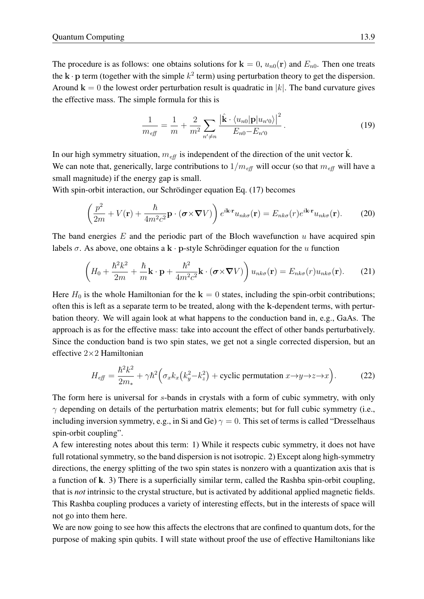The procedure is as follows: one obtains solutions for  $\mathbf{k} = 0$ ,  $u_{n0}(\mathbf{r})$  and  $E_{n0}$ . Then one treats the  $\mathbf{k} \cdot \mathbf{p}$  term (together with the simple  $k^2$  term) using perturbation theory to get the dispersion. Around  $\mathbf{k} = 0$  the lowest order perturbation result is quadratic in |k|. The band curvature gives the effective mass. The simple formula for this is

$$
\frac{1}{m_{\text{eff}}} = \frac{1}{m} + \frac{2}{m^2} \sum_{n' \neq n} \frac{|\hat{\mathbf{k}} \cdot \langle u_{n0} | \mathbf{p} | u_{n'0} \rangle|^2}{E_{n0} - E_{n'0}}.
$$
(19)

In our high symmetry situation,  $m_{\text{eff}}$  is independent of the direction of the unit vector k.

We can note that, generically, large contributions to  $1/m_{\text{eff}}$  will occur (so that  $m_{\text{eff}}$  will have a small magnitude) if the energy gap is small.

With spin-orbit interaction, our Schrödinger equation Eq. [\(17\)](#page-7-1) becomes

$$
\left(\frac{p^2}{2m} + V(\mathbf{r}) + \frac{\hbar}{4m^2c^2}\mathbf{p} \cdot (\boldsymbol{\sigma} \times \boldsymbol{\nabla} V)\right) e^{i\mathbf{k}\cdot\mathbf{r}} u_{nk\sigma}(\mathbf{r}) = E_{nk\sigma}(r)e^{i\mathbf{k}\cdot\mathbf{r}} u_{nk\sigma}(\mathbf{r}).
$$
 (20)

The band energies  $E$  and the periodic part of the Bloch wavefunction  $u$  have acquired spin labels  $\sigma$ . As above, one obtains a k · p-style Schrödinger equation for the u function

$$
\left(H_0 + \frac{\hbar^2 k^2}{2m} + \frac{\hbar}{m} \mathbf{k} \cdot \mathbf{p} + \frac{\hbar^2}{4m^2 c^2} \mathbf{k} \cdot (\boldsymbol{\sigma} \times \boldsymbol{\nabla} V)\right) u_{nk\sigma}(\mathbf{r}) = E_{nk\sigma}(r) u_{nk\sigma}(\mathbf{r}).
$$
 (21)

Here  $H_0$  is the whole Hamiltonian for the  $k = 0$  states, including the spin-orbit contributions; often this is left as a separate term to be treated, along with the k-dependent terms, with perturbation theory. We will again look at what happens to the conduction band in, e.g., GaAs. The approach is as for the effective mass: take into account the effect of other bands perturbatively. Since the conduction band is two spin states, we get not a single corrected dispersion, but an effective 2×2 Hamiltonian

<span id="page-8-0"></span>
$$
H_{\text{eff}} = \frac{\hbar^2 k^2}{2m_*} + \gamma \hbar^2 \Big( \sigma_x k_x \big( k_y^2 - k_z^2 \big) + \text{cyclic permutation } x \to y \to z \to x \Big). \tag{22}
$$

The form here is universal for s-bands in crystals with a form of cubic symmetry, with only  $\gamma$  depending on details of the perturbation matrix elements; but for full cubic symmetry (i.e., including inversion symmetry, e.g., in Si and Ge)  $\gamma = 0$ . This set of terms is called "Dresselhaus spin-orbit coupling".

A few interesting notes about this term: 1) While it respects cubic symmetry, it does not have full rotational symmetry, so the band dispersion is not isotropic. 2) Except along high-symmetry directions, the energy splitting of the two spin states is nonzero with a quantization axis that is a function of k. 3) There is a superficially similar term, called the Rashba spin-orbit coupling, that is *not* intrinsic to the crystal structure, but is activated by additional applied magnetic fields. This Rashba coupling produces a variety of interesting effects, but in the interests of space will not go into them here.

We are now going to see how this affects the electrons that are confined to quantum dots, for the purpose of making spin qubits. I will state without proof the use of effective Hamiltonians like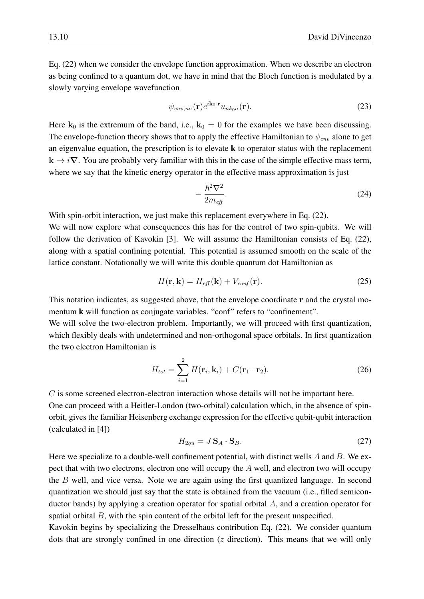Eq. [\(22\)](#page-8-0) when we consider the envelope function approximation. When we describe an electron as being confined to a quantum dot, we have in mind that the Bloch function is modulated by a slowly varying envelope wavefunction

$$
\psi_{env,n\sigma}(\mathbf{r})e^{i\mathbf{k}_0\cdot\mathbf{r}}u_{nk_0\sigma}(\mathbf{r}).
$$
\n(23)

Here  $k_0$  is the extremum of the band, i.e.,  $k_0 = 0$  for the examples we have been discussing. The envelope-function theory shows that to apply the effective Hamiltonian to  $\psi_{env}$  alone to get an eigenvalue equation, the prescription is to elevate  $k$  to operator status with the replacement  $k \rightarrow i\nabla$ . You are probably very familiar with this in the case of the simple effective mass term, where we say that the kinetic energy operator in the effective mass approximation is just

$$
-\frac{\hbar^2 \nabla^2}{2m_{\text{eff}}}.\tag{24}
$$

With spin-orbit interaction, we just make this replacement everywhere in Eq. [\(22\)](#page-8-0).

We will now explore what consequences this has for the control of two spin-qubits. We will follow the derivation of Kavokin [\[3\]](#page-17-2). We will assume the Hamiltonian consists of Eq. [\(22\)](#page-8-0), along with a spatial confining potential. This potential is assumed smooth on the scale of the lattice constant. Notationally we will write this double quantum dot Hamiltonian as

$$
H(\mathbf{r}, \mathbf{k}) = H_{\text{eff}}(\mathbf{k}) + V_{\text{conf}}(\mathbf{r}).
$$
\n(25)

This notation indicates, as suggested above, that the envelope coordinate **r** and the crystal momentum **k** will function as conjugate variables. "conf" refers to "confinement".

We will solve the two-electron problem. Importantly, we will proceed with first quantization, which flexibly deals with undetermined and non-orthogonal space orbitals. In first quantization the two electron Hamiltonian is

$$
H_{tot} = \sum_{i=1}^{2} H(\mathbf{r}_i, \mathbf{k}_i) + C(\mathbf{r}_1 - \mathbf{r}_2).
$$
 (26)

C is some screened electron-electron interaction whose details will not be important here. One can proceed with a Heitler-London (two-orbital) calculation which, in the absence of spinorbit, gives the familiar Heisenberg exchange expression for the effective qubit-qubit interaction (calculated in [\[4\]](#page-17-3))

<span id="page-9-0"></span>
$$
H_{2qu} = J\,\mathbf{S}_A \cdot \mathbf{S}_B. \tag{27}
$$

Here we specialize to a double-well confinement potential, with distinct wells  $A$  and  $B$ . We expect that with two electrons, electron one will occupy the  $A$  well, and electron two will occupy the  $B$  well, and vice versa. Note we are again using the first quantized language. In second quantization we should just say that the state is obtained from the vacuum (i.e., filled semiconductor bands) by applying a creation operator for spatial orbital A, and a creation operator for spatial orbital  $B$ , with the spin content of the orbital left for the present unspecified.

Kavokin begins by specializing the Dresselhaus contribution Eq. [\(22\)](#page-8-0). We consider quantum dots that are strongly confined in one direction  $(z$  direction). This means that we will only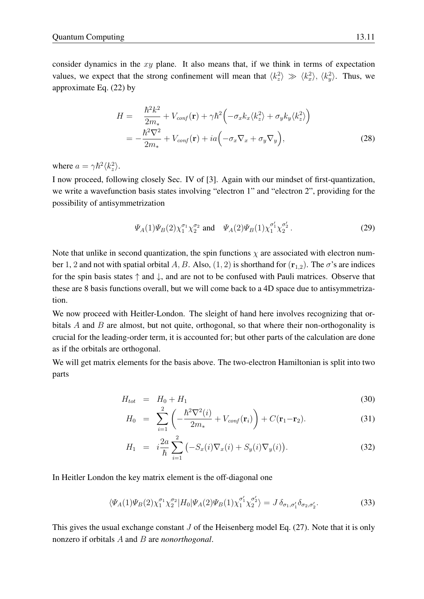consider dynamics in the  $xy$  plane. It also means that, if we think in terms of expectation values, we expect that the strong confinement will mean that  $\langle k_z^2 \rangle \gg \langle k_x^2 \rangle$ ,  $\langle k_y^2 \rangle$ . Thus, we approximate Eq. [\(22\)](#page-8-0) by

$$
H = \frac{\hbar^2 k^2}{2m_*} + V_{conf}(\mathbf{r}) + \gamma \hbar^2 \left( -\sigma_x k_x \langle k_z^2 \rangle + \sigma_y k_y \langle k_z^2 \rangle \right)
$$
  
= 
$$
-\frac{\hbar^2 \nabla^2}{2m_*} + V_{conf}(\mathbf{r}) + ia \left( -\sigma_x \nabla_x + \sigma_y \nabla_y \right),
$$
 (28)

where  $a = \gamma \hbar^2 \langle k_z^2 \rangle$ .

I now proceed, following closely Sec. IV of [\[3\]](#page-17-2). Again with our mindset of first-quantization, we write a wavefunction basis states involving "electron 1" and "electron 2", providing for the possibility of antisymmetrization

$$
\Psi_A(1)\Psi_B(2)\chi_1^{\sigma_1}\chi_2^{\sigma_2}
$$
 and  $\Psi_A(2)\Psi_B(1)\chi_1^{\sigma'_1}\chi_2^{\sigma'_2}$ . (29)

Note that unlike in second quantization, the spin functions  $\chi$  are associated with electron number 1, 2 and not with spatial orbital A, B. Also,  $(1, 2)$  is shorthand for  $(\mathbf{r}_{1,2})$ . The  $\sigma$ 's are indices for the spin basis states  $\uparrow$  and  $\downarrow$ , and are not to be confused with Pauli matrices. Observe that these are 8 basis functions overall, but we will come back to a 4D space due to antisymmetrization.

We now proceed with Heitler-London. The sleight of hand here involves recognizing that orbitals  $A$  and  $B$  are almost, but not quite, orthogonal, so that where their non-orthogonality is crucial for the leading-order term, it is accounted for; but other parts of the calculation are done as if the orbitals are orthogonal.

We will get matrix elements for the basis above. The two-electron Hamiltonian is split into two parts

$$
H_{tot} = H_0 + H_1 \tag{30}
$$

$$
H_0 = \sum_{i=1}^{2} \left( -\frac{\hbar^2 \nabla^2(i)}{2m_*} + V_{conf}(\mathbf{r}_i) \right) + C(\mathbf{r}_1 - \mathbf{r}_2).
$$
 (31)

$$
H_1 = i\frac{2a}{\hbar} \sum_{i=1}^{2} \left( -S_x(i)\nabla_x(i) + S_y(i)\nabla_y(i) \right).
$$
 (32)

In Heitler London the key matrix element is the off-diagonal one

$$
\langle \Psi_A(1)\Psi_B(2)\chi_1^{\sigma_1}\chi_2^{\sigma_2}|H_0|\Psi_A(2)\Psi_B(1)\chi_1^{\sigma'_1}\chi_2^{\sigma'_2}\rangle = J\,\delta_{\sigma_1,\sigma'_1}\delta_{\sigma_2,\sigma'_2}.\tag{33}
$$

This gives the usual exchange constant  $J$  of the Heisenberg model Eq. [\(27\)](#page-9-0). Note that it is only nonzero if orbitals A and B are *nonorthogonal*.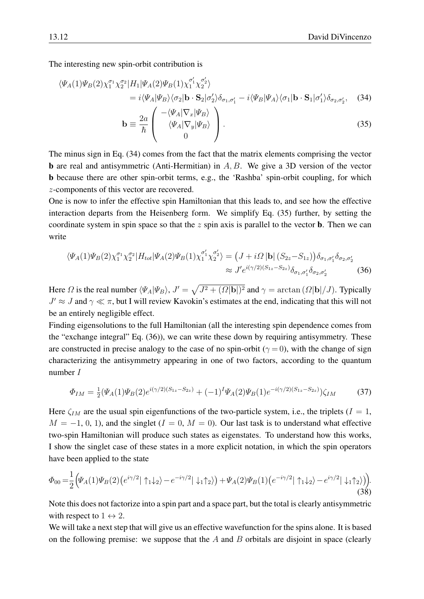The interesting new spin-orbit contribution is

$$
\langle \Psi_A(1)\Psi_B(2)\chi_1^{\sigma_1}\chi_2^{\sigma_2}|H_1|\Psi_A(2)\Psi_B(1)\chi_1^{\sigma'_1}\chi_2^{\sigma'_2}\rangle
$$
  
=  $i\langle\Psi_A|\Psi_B\rangle\langle\sigma_2|\mathbf{b}\cdot\mathbf{S}_2|\sigma'_2\rangle\delta_{\sigma_1,\sigma'_1}-i\langle\Psi_B|\Psi_A\rangle\langle\sigma_1|\mathbf{b}\cdot\mathbf{S}_1|\sigma'_1\rangle\delta_{\sigma_2,\sigma'_2},$  (34)

<span id="page-11-2"></span><span id="page-11-1"></span><span id="page-11-0"></span>
$$
\mathbf{b} \equiv \frac{2a}{\hbar} \begin{pmatrix} \frac{\Delta}{2} \mathbf{A} \left[ \frac{\mathbf{V} \mathbf{A}}{k} \mathbf{V} \mathbf{B} \mathbf{B} \right] \\ \langle \Psi_A | \nabla_y | \Psi_B \rangle \\ 0 \end{pmatrix} . \tag{35}
$$

The minus sign in Eq. [\(34\)](#page-11-0) comes from the fact that the matrix elements comprising the vector **b** are real and antisymmetric (Anti-Hermitian) in  $A, B$ . We give a 3D version of the vector b because there are other spin-orbit terms, e.g., the 'Rashba' spin-orbit coupling, for which z-components of this vector are recovered.

One is now to infer the effective spin Hamiltonian that this leads to, and see how the effective interaction departs from the Heisenberg form. We simplify Eq. [\(35\)](#page-11-1) further, by setting the coordinate system in spin space so that the  $z$  spin axis is parallel to the vector **b**. Then we can write

$$
\langle \Psi_A(1)\Psi_B(2)\chi_1^{\sigma_1}\chi_2^{\sigma_2}|H_{tot}|\Psi_A(2)\Psi_B(1)\chi_1^{\sigma'_1}\chi_2^{\sigma'_2}\rangle = (J + i\Omega|\mathbf{b}|(S_{2z} - S_{1z}))\delta_{\sigma_1,\sigma'_1}\delta_{\sigma_2,\sigma'_2}
$$
  

$$
\approx J'e^{i(\gamma/2)(S_{1z} - S_{2z})}\delta_{\sigma_1,\sigma'_1}\delta_{\sigma_2,\sigma'_2}
$$
(36)

Here  $\Omega$  is the real number  $\langle \Psi_A | \Psi_B \rangle$ ,  $J' = \sqrt{J^2 + (\Omega |{\bf b}|)^2}$  and  $\gamma = \arctan(\Omega |{\bf b}|/J)$ . Typically  $J' \approx J$  and  $\gamma \ll \pi$ , but I will review Kavokin's estimates at the end, indicating that this will not be an entirely negligible effect.

Finding eigensolutions to the full Hamiltonian (all the interesting spin dependence comes from the "exchange integral" Eq. [\(36\)](#page-11-2)), we can write these down by requiring antisymmetry. These are constructed in precise analogy to the case of no spin-orbit ( $\gamma = 0$ ), with the change of sign characterizing the antisymmetry appearing in one of two factors, according to the quantum number I

$$
\Phi_{IM} = \frac{1}{2} (\Psi_A(1)\Psi_B(2)e^{i(\gamma/2)(S_{1z} - S_{2z})} + (-1)^I \Psi_A(2)\Psi_B(1)e^{-i(\gamma/2)(S_{1z} - S_{2z})})\zeta_{IM}
$$
(37)

Here  $\zeta_{IM}$  are the usual spin eigenfunctions of the two-particle system, i.e., the triplets ( $I = 1$ ,  $M = -1, 0, 1$ , and the singlet  $(I = 0, M = 0)$ . Our last task is to understand what effective two-spin Hamiltonian will produce such states as eigenstates. To understand how this works, I show the singlet case of these states in a more explicit notation, in which the spin operators have been applied to the state

<span id="page-11-3"></span>
$$
\Phi_{00} = \frac{1}{2} \Big( \Psi_A(1) \Psi_B(2) \big( e^{i\gamma/2} | \uparrow_1 \downarrow_2 \rangle - e^{-i\gamma/2} | \downarrow_1 \uparrow_2 \rangle \Big) + \Psi_A(2) \Psi_B(1) \big( e^{-i\gamma/2} | \uparrow_1 \downarrow_2 \rangle - e^{i\gamma/2} | \downarrow_1 \uparrow_2 \rangle \Big).
$$
\n(38)

Note this does not factorize into a spin part and a space part, but the total is clearly antisymmetric with respect to  $1 \leftrightarrow 2$ .

We will take a next step that will give us an effective wavefunction for the spins alone. It is based on the following premise: we suppose that the  $A$  and  $B$  orbitals are disjoint in space (clearly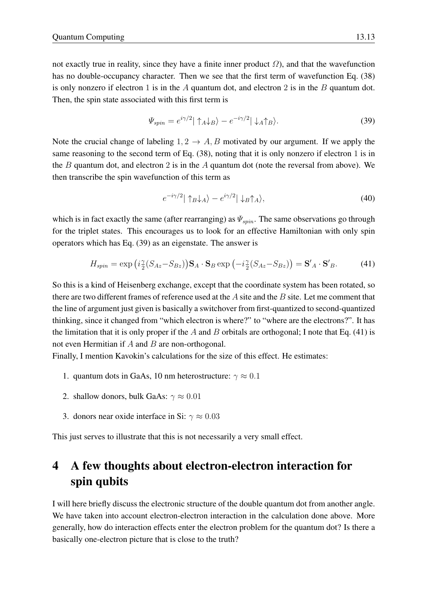not exactly true in reality, since they have a finite inner product  $\Omega$ ), and that the wavefunction has no double-occupancy character. Then we see that the first term of wavefunction Eq. [\(38\)](#page-11-3) is only nonzero if electron 1 is in the A quantum dot, and electron 2 is in the B quantum dot. Then, the spin state associated with this first term is

<span id="page-12-1"></span>
$$
\Psi_{spin} = e^{i\gamma/2} |\uparrow_A \downarrow_B \rangle - e^{-i\gamma/2} |\downarrow_A \uparrow_B \rangle. \tag{39}
$$

Note the crucial change of labeling  $1, 2 \rightarrow A, B$  motivated by our argument. If we apply the same reasoning to the second term of Eq. [\(38\)](#page-11-3), noting that it is only nonzero if electron 1 is in the B quantum dot, and electron 2 is in the A quantum dot (note the reversal from above). We then transcribe the spin wavefunction of this term as

$$
e^{-i\gamma/2}|\uparrow_B\downarrow_A\rangle - e^{i\gamma/2}|\downarrow_B\uparrow_A\rangle,\tag{40}
$$

which is in fact exactly the same (after rearranging) as  $\Psi_{spin}$ . The same observations go through for the triplet states. This encourages us to look for an effective Hamiltonian with only spin operators which has Eq. [\(39\)](#page-12-1) as an eigenstate. The answer is

<span id="page-12-2"></span>
$$
H_{spin} = \exp\left(i\frac{\gamma}{2}(S_{Az} - S_{Bz})\right) \mathbf{S}_A \cdot \mathbf{S}_B \exp\left(-i\frac{\gamma}{2}(S_{Az} - S_{Bz})\right) = \mathbf{S}'_A \cdot \mathbf{S}'_B. \tag{41}
$$

So this is a kind of Heisenberg exchange, except that the coordinate system has been rotated, so there are two different frames of reference used at the  $A$  site and the  $B$  site. Let me comment that the line of argument just given is basically a switchover from first-quantized to second-quantized thinking, since it changed from "which electron is where?" to "where are the electrons?". It has the limitation that it is only proper if the A and B orbitals are orthogonal; I note that Eq.  $(41)$  is not even Hermitian if  $A$  and  $B$  are non-orthogonal.

Finally, I mention Kavokin's calculations for the size of this effect. He estimates:

- 1. quantum dots in GaAs, 10 nm heterostructure:  $\gamma \approx 0.1$
- 2. shallow donors, bulk GaAs:  $\gamma \approx 0.01$
- 3. donors near oxide interface in Si:  $\gamma \approx 0.03$

This just serves to illustrate that this is not necessarily a very small effect.

## <span id="page-12-0"></span>4 A few thoughts about electron-electron interaction for spin qubits

I will here briefly discuss the electronic structure of the double quantum dot from another angle. We have taken into account electron-electron interaction in the calculation done above. More generally, how do interaction effects enter the electron problem for the quantum dot? Is there a basically one-electron picture that is close to the truth?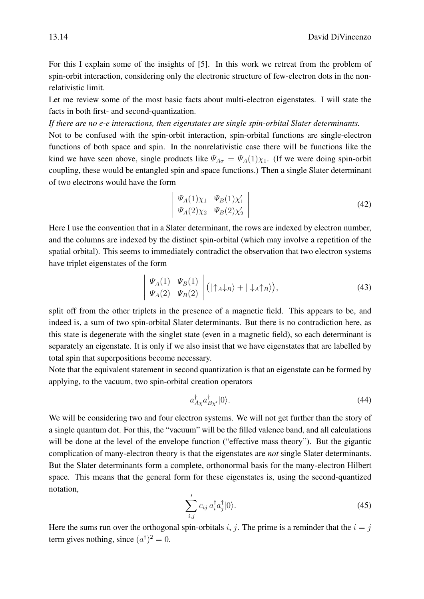For this I explain some of the insights of [\[5\]](#page-17-4). In this work we retreat from the problem of spin-orbit interaction, considering only the electronic structure of few-electron dots in the nonrelativistic limit.

Let me review some of the most basic facts about multi-electron eigenstates. I will state the facts in both first- and second-quantization.

*If there are no e-e interactions, then eigenstates are single spin-orbital Slater determinants.*

Not to be confused with the spin-orbit interaction, spin-orbital functions are single-electron functions of both space and spin. In the nonrelativistic case there will be functions like the kind we have seen above, single products like  $\Psi_{A\sigma} = \Psi_A(1)\chi_1$ . (If we were doing spin-orbit coupling, these would be entangled spin and space functions.) Then a single Slater determinant of two electrons would have the form

$$
\begin{vmatrix} \Psi_A(1)\chi_1 & \Psi_B(1)\chi'_1\\ \Psi_A(2)\chi_2 & \Psi_B(2)\chi'_2 \end{vmatrix}
$$
 (42)

Here I use the convention that in a Slater determinant, the rows are indexed by electron number, and the columns are indexed by the distinct spin-orbital (which may involve a repetition of the spatial orbital). This seems to immediately contradict the observation that two electron systems have triplet eigenstates of the form

<span id="page-13-1"></span>
$$
\begin{vmatrix} \Psi_A(1) & \Psi_B(1) \\ \Psi_A(2) & \Psi_B(2) \end{vmatrix} (|\uparrow_A \downarrow_B \rangle + |\downarrow_A \uparrow_B \rangle), \tag{43}
$$

split off from the other triplets in the presence of a magnetic field. This appears to be, and indeed is, a sum of two spin-orbital Slater determinants. But there is no contradiction here, as this state is degenerate with the singlet state (even in a magnetic field), so each determinant is separately an eigenstate. It is only if we also insist that we have eigenstates that are labelled by total spin that superpositions become necessary.

Note that the equivalent statement in second quantization is that an eigenstate can be formed by applying, to the vacuum, two spin-orbital creation operators

$$
a_{A\chi}^{\dagger}a_{B\chi'}^{\dagger}|0\rangle. \tag{44}
$$

We will be considering two and four electron systems. We will not get further than the story of a single quantum dot. For this, the "vacuum" will be the filled valence band, and all calculations will be done at the level of the envelope function ("effective mass theory"). But the gigantic complication of many-electron theory is that the eigenstates are *not* single Slater determinants. But the Slater determinants form a complete, orthonormal basis for the many-electron Hilbert space. This means that the general form for these eigenstates is, using the second-quantized notation,

<span id="page-13-0"></span>
$$
\sum_{i,j}' c_{ij} a_i^{\dagger} a_j^{\dagger} |0\rangle.
$$
 (45)

Here the sums run over the orthogonal spin-orbitals i, j. The prime is a reminder that the  $i = j$ term gives nothing, since  $(a^{\dagger})^2 = 0$ .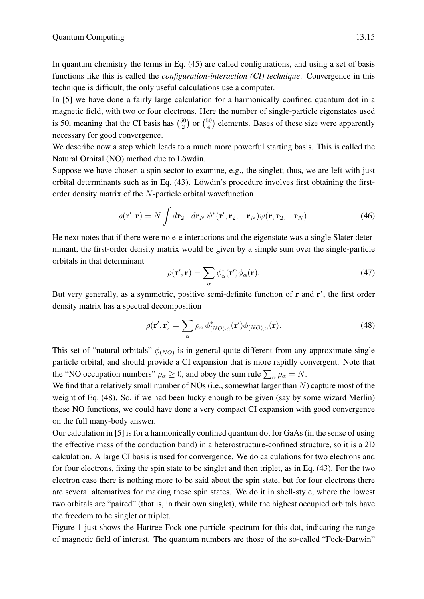In quantum chemistry the terms in Eq. [\(45\)](#page-13-0) are called configurations, and using a set of basis functions like this is called the *configuration-interaction (CI) technique*. Convergence in this technique is difficult, the only useful calculations use a computer.

In [\[5\]](#page-17-4) we have done a fairly large calculation for a harmonically confined quantum dot in a magnetic field, with two or four electrons. Here the number of single-particle eigenstates used is 50, meaning that the CI basis has  $\binom{50}{2}$  $\binom{50}{2}$  or  $\binom{50}{4}$  $_{4}^{50}$ ) elements. Bases of these size were apparently necessary for good convergence.

We describe now a step which leads to a much more powerful starting basis. This is called the Natural Orbital (NO) method due to Löwdin.

Suppose we have chosen a spin sector to examine, e.g., the singlet; thus, we are left with just orbital determinants such as in Eq. [\(43\)](#page-13-1). Löwdin's procedure involves first obtaining the firstorder density matrix of the N-particle orbital wavefunction

$$
\rho(\mathbf{r}', \mathbf{r}) = N \int d\mathbf{r}_2 ... d\mathbf{r}_N \, \psi^*(\mathbf{r}', \mathbf{r}_2, ... \mathbf{r}_N) \psi(\mathbf{r}, \mathbf{r}_2, ... \mathbf{r}_N).
$$
 (46)

He next notes that if there were no e-e interactions and the eigenstate was a single Slater determinant, the first-order density matrix would be given by a simple sum over the single-particle orbitals in that determinant

$$
\rho(\mathbf{r}', \mathbf{r}) = \sum_{\alpha} \phi_{\alpha}^*(\mathbf{r}') \phi_{\alpha}(\mathbf{r}). \tag{47}
$$

But very generally, as a symmetric, positive semi-definite function of  $\bf{r}$  and  $\bf{r}'$ , the first order density matrix has a spectral decomposition

<span id="page-14-0"></span>
$$
\rho(\mathbf{r}', \mathbf{r}) = \sum_{\alpha} \rho_{\alpha} \phi_{(NO), \alpha}^*(\mathbf{r}') \phi_{(NO), \alpha}(\mathbf{r}). \tag{48}
$$

This set of "natural orbitals"  $\phi_{(NO)}$  is in general quite different from any approximate single particle orbital, and should provide a CI expansion that is more rapidly convergent. Note that the "NO occupation numbers"  $\rho_{\alpha} \ge 0$ , and obey the sum rule  $\sum_{\alpha} \rho_{\alpha} = N$ .

We find that a relatively small number of NOs (i.e., somewhat larger than  $N$ ) capture most of the weight of Eq. [\(48\)](#page-14-0). So, if we had been lucky enough to be given (say by some wizard Merlin) these NO functions, we could have done a very compact CI expansion with good convergence on the full many-body answer.

Our calculation in [\[5\]](#page-17-4) is for a harmonically confined quantum dot for GaAs (in the sense of using the effective mass of the conduction band) in a heterostructure-confined structure, so it is a 2D calculation. A large CI basis is used for convergence. We do calculations for two electrons and for four electrons, fixing the spin state to be singlet and then triplet, as in Eq. [\(43\)](#page-13-1). For the two electron case there is nothing more to be said about the spin state, but for four electrons there are several alternatives for making these spin states. We do it in shell-style, where the lowest two orbitals are "paired" (that is, in their own singlet), while the highest occupied orbitals have the freedom to be singlet or triplet.

Figure [1](#page-15-0) just shows the Hartree-Fock one-particle spectrum for this dot, indicating the range of magnetic field of interest. The quantum numbers are those of the so-called "Fock-Darwin"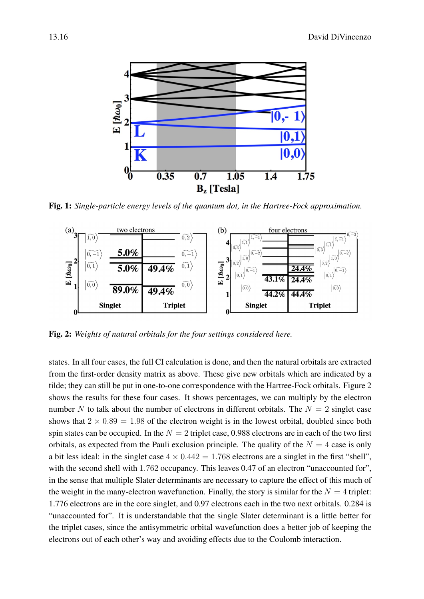

<span id="page-15-0"></span>Fig. 1: *Single-particle energy levels of the quantum dot, in the Hartree-Fock approximation.*



<span id="page-15-1"></span>Fig. 2: *Weights of natural orbitals for the four settings considered here.*

states. In all four cases, the full CI calculation is done, and then the natural orbitals are extracted from the first-order density matrix as above. These give new orbitals which are indicated by a tilde; they can still be put in one-to-one correspondence with the Hartree-Fock orbitals. Figure [2](#page-15-1) shows the results for these four cases. It shows percentages, we can multiply by the electron number N to talk about the number of electrons in different orbitals. The  $N = 2$  singlet case shows that  $2 \times 0.89 = 1.98$  of the electron weight is in the lowest orbital, doubled since both spin states can be occupied. In the  $N = 2$  triplet case, 0.988 electrons are in each of the two first orbitals, as expected from the Pauli exclusion principle. The quality of the  $N = 4$  case is only a bit less ideal: in the singlet case  $4 \times 0.442 = 1.768$  electrons are a singlet in the first "shell", with the second shell with 1.762 occupancy. This leaves 0.47 of an electron "unaccounted for", in the sense that multiple Slater determinants are necessary to capture the effect of this much of the weight in the many-electron wavefunction. Finally, the story is similar for the  $N = 4$  triplet: 1.776 electrons are in the core singlet, and 0.97 electrons each in the two next orbitals. 0.284 is "unaccounted for". It is understandable that the single Slater determinant is a little better for the triplet cases, since the antisymmetric orbital wavefunction does a better job of keeping the electrons out of each other's way and avoiding effects due to the Coulomb interaction.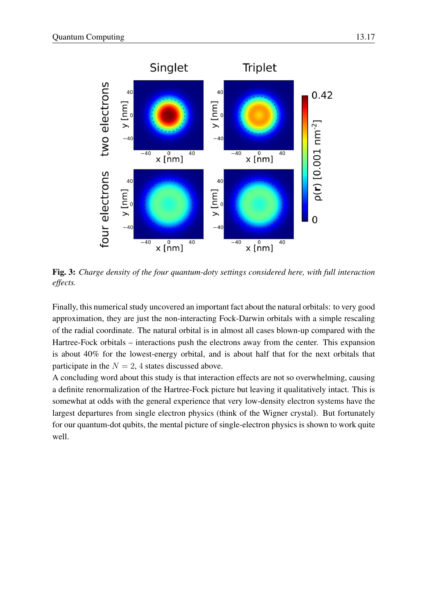

Fig. 3: *Charge density of the four quantum-doty settings considered here, with full interaction effects.*

Finally, this numerical study uncovered an important fact about the natural orbitals: to very good approximation, they are just the non-interacting Fock-Darwin orbitals with a simple rescaling of the radial coordinate. The natural orbital is in almost all cases blown-up compared with the Hartree-Fock orbitals – interactions push the electrons away from the center. This expansion is about 40% for the lowest-energy orbital, and is about half that for the next orbitals that participate in the  $N = 2$ , 4 states discussed above.

A concluding word about this study is that interaction effects are not so overwhelming, causing a definite renormalization of the Hartree-Fock picture but leaving it qualitatively intact. This is somewhat at odds with the general experience that very low-density electron systems have the largest departures from single electron physics (think of the Wigner crystal). But fortunately for our quantum-dot qubits, the mental picture of single-electron physics is shown to work quite well.